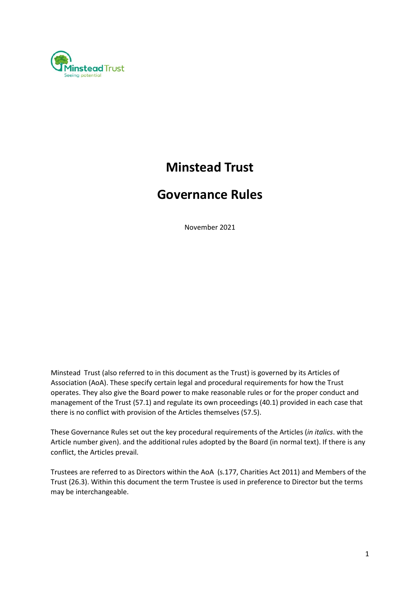

# **Minstead Trust**

# **Governance Rules**

November 2021

Minstead Trust (also referred to in this document as the Trust) is governed by its Articles of Association (AoA). These specify certain legal and procedural requirements for how the Trust operates. They also give the Board power to make reasonable rules or for the proper conduct and management of the Trust (57.1) and regulate its own proceedings (40.1) provided in each case that there is no conflict with provision of the Articles themselves (57.5).

These Governance Rules set out the key procedural requirements of the Articles (*in italics*. with the Article number given). and the additional rules adopted by the Board (in normal text). If there is any conflict, the Articles prevail.

Trustees are referred to as Directors within the AoA (s.177, Charities Act 2011) and Members of the Trust (26.3). Within this document the term Trustee is used in preference to Director but the terms may be interchangeable.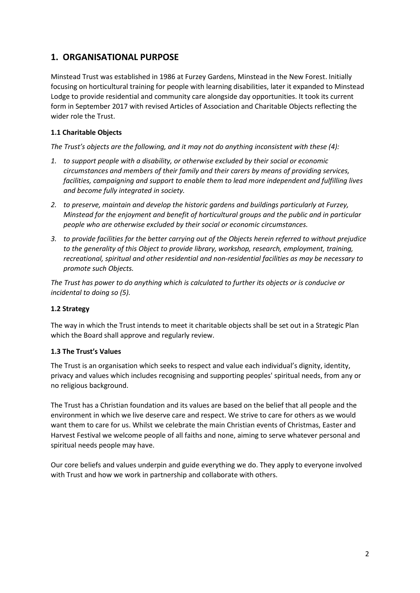# **1. ORGANISATIONAL PURPOSE**

Minstead Trust was established in 1986 at Furzey Gardens, Minstead in the New Forest. Initially focusing on horticultural training for people with learning disabilities, later it expanded to Minstead Lodge to provide residential and community care alongside day opportunities. It took its current form in September 2017 with revised Articles of Association and Charitable Objects reflecting the wider role the Trust.

## **1.1 Charitable Objects**

*The Trust's objects are the following, and it may not do anything inconsistent with these (4):*

- *1. to support people with a disability, or otherwise excluded by their social or economic circumstances and members of their family and their carers by means of providing services, facilities, campaigning and support to enable them to lead more independent and fulfilling lives and become fully integrated in society.*
- *2. to preserve, maintain and develop the historic gardens and buildings particularly at Furzey, Minstead for the enjoyment and benefit of horticultural groups and the public and in particular people who are otherwise excluded by their social or economic circumstances.*
- *3. to provide facilities for the better carrying out of the Objects herein referred to without prejudice to the generality of this Object to provide library, workshop, research, employment, training, recreational, spiritual and other residential and non-residential facilities as may be necessary to promote such Objects.*

*The Trust has power to do anything which is calculated to further its objects or is conducive or incidental to doing so (5).* 

## **1.2 Strategy**

The way in which the Trust intends to meet it charitable objects shall be set out in a Strategic Plan which the Board shall approve and regularly review.

#### **1.3 The Trust's Values**

The Trust is an organisation which seeks to respect and value each individual's dignity, identity, privacy and values which includes recognising and supporting peoples' spiritual needs, from any or no religious background.

The Trust has a Christian foundation and its values are based on the belief that all people and the environment in which we live deserve care and respect. We strive to care for others as we would want them to care for us. Whilst we celebrate the main Christian events of Christmas, Easter and Harvest Festival we welcome people of all faiths and none, aiming to serve whatever personal and spiritual needs people may have.

Our core beliefs and values underpin and guide everything we do. They apply to everyone involved with Trust and how we work in partnership and collaborate with others.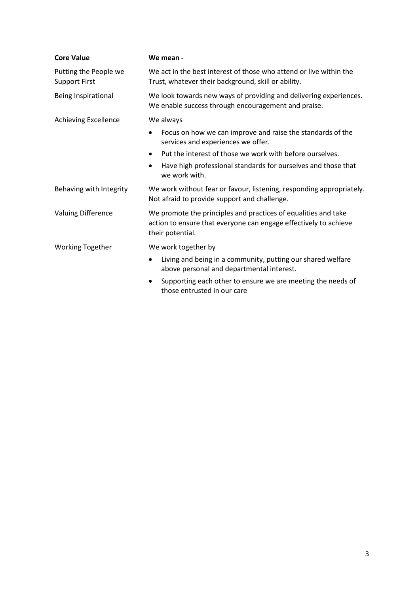| <b>Core Value</b>                             | We mean -                                                                                                                                              |
|-----------------------------------------------|--------------------------------------------------------------------------------------------------------------------------------------------------------|
| Putting the People we<br><b>Support First</b> | We act in the best interest of those who attend or live within the<br>Trust, whatever their background, skill or ability.                              |
| Being Inspirational                           | We look towards new ways of providing and delivering experiences.<br>We enable success through encouragement and praise.                               |
| Achieving Excellence                          | We always                                                                                                                                              |
|                                               | Focus on how we can improve and raise the standards of the<br>$\bullet$<br>services and experiences we offer.                                          |
|                                               | Put the interest of those we work with before ourselves.<br>$\bullet$                                                                                  |
|                                               | Have high professional standards for ourselves and those that<br>we work with.                                                                         |
| Behaving with Integrity                       | We work without fear or favour, listening, responding appropriately.<br>Not afraid to provide support and challenge.                                   |
| <b>Valuing Difference</b>                     | We promote the principles and practices of equalities and take<br>action to ensure that everyone can engage effectively to achieve<br>their potential. |
| <b>Working Together</b>                       | We work together by                                                                                                                                    |
|                                               | Living and being in a community, putting our shared welfare<br>above personal and departmental interest.                                               |
|                                               | Supporting each other to ensure we are meeting the needs of<br>those entrusted in our care                                                             |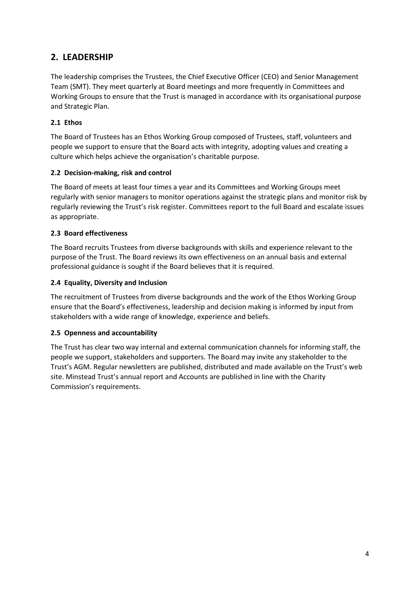# **2. LEADERSHIP**

The leadership comprises the Trustees, the Chief Executive Officer (CEO) and Senior Management Team (SMT). They meet quarterly at Board meetings and more frequently in Committees and Working Groups to ensure that the Trust is managed in accordance with its organisational purpose and Strategic Plan.

## **2.1 Ethos**

The Board of Trustees has an Ethos Working Group composed of Trustees, staff, volunteers and people we support to ensure that the Board acts with integrity, adopting values and creating a culture which helps achieve the organisation's charitable purpose.

## **2.2 Decision-making, risk and control**

The Board of meets at least four times a year and its Committees and Working Groups meet regularly with senior managers to monitor operations against the strategic plans and monitor risk by regularly reviewing the Trust's risk register. Committees report to the full Board and escalate issues as appropriate.

## **2.3 Board effectiveness**

The Board recruits Trustees from diverse backgrounds with skills and experience relevant to the purpose of the Trust. The Board reviews its own effectiveness on an annual basis and external professional guidance is sought if the Board believes that it is required.

## **2.4 Equality, Diversity and Inclusion**

The recruitment of Trustees from diverse backgrounds and the work of the Ethos Working Group ensure that the Board's effectiveness, leadership and decision making is informed by input from stakeholders with a wide range of knowledge, experience and beliefs.

## **2.5 Openness and accountability**

The Trust has clear two way internal and external communication channels for informing staff, the people we support, stakeholders and supporters. The Board may invite any stakeholder to the Trust's AGM. Regular newsletters are published, distributed and made available on the Trust's web site. Minstead Trust's annual report and Accounts are published in line with the Charity Commission's requirements.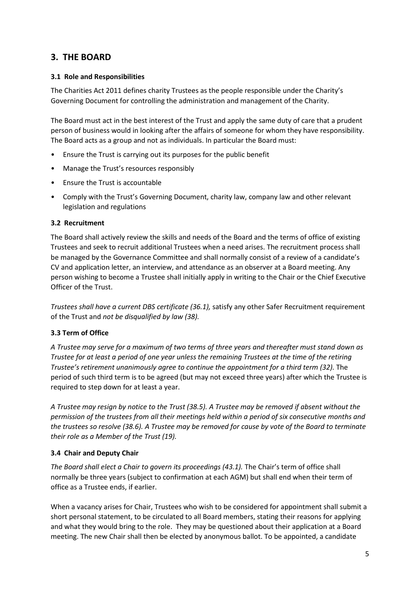# **3. THE BOARD**

#### **3.1 Role and Responsibilities**

The Charities Act 2011 defines charity Trustees as the people responsible under the Charity's Governing Document for controlling the administration and management of the Charity.

The Board must act in the best interest of the Trust and apply the same duty of care that a prudent person of business would in looking after the affairs of someone for whom they have responsibility. The Board acts as a group and not as individuals. In particular the Board must:

- Ensure the Trust is carrying out its purposes for the public benefit
- Manage the Trust's resources responsibly
- Ensure the Trust is accountable
- Comply with the Trust's Governing Document, charity law, company law and other relevant legislation and regulations

#### **3.2 Recruitment**

The Board shall actively review the skills and needs of the Board and the terms of office of existing Trustees and seek to recruit additional Trustees when a need arises. The recruitment process shall be managed by the Governance Committee and shall normally consist of a review of a candidate's CV and application letter, an interview, and attendance as an observer at a Board meeting. Any person wishing to become a Trustee shall initially apply in writing to the Chair or the Chief Executive Officer of the Trust.

*Trustees shall have a current DBS certificate (36.1),* satisfy any other Safer Recruitment requirement of the Trust and *not be disqualified by law (38).* 

#### **3.3 Term of Office**

*A Trustee may serve for a maximum of two terms of three years and thereafter must stand down as Trustee for at least a period of one year unless the remaining Trustees at the time of the retiring Trustee's retirement unanimously agree to continue the appointment for a third term (32).* The period of such third term is to be agreed (but may not exceed three years) after which the Trustee is required to step down for at least a year.

*A Trustee may resign by notice to the Trust (38.5). A Trustee may be removed if absent without the permission of the trustees from all their meetings held within a period of six consecutive months and the trustees so resolve (38.6). A Trustee may be removed for cause by vote of the Board to terminate their role as a Member of the Trust (19).*

#### **3.4 Chair and Deputy Chair**

*The Board shall elect a Chair to govern its proceedings (43.1).* The Chair's term of office shall normally be three years (subject to confirmation at each AGM) but shall end when their term of office as a Trustee ends, if earlier.

When a vacancy arises for Chair, Trustees who wish to be considered for appointment shall submit a short personal statement, to be circulated to all Board members, stating their reasons for applying and what they would bring to the role. They may be questioned about their application at a Board meeting. The new Chair shall then be elected by anonymous ballot. To be appointed, a candidate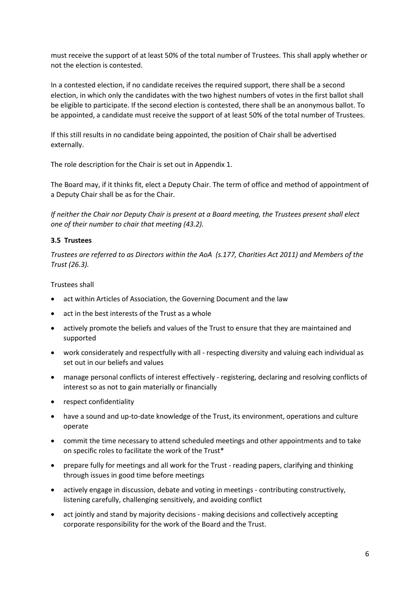must receive the support of at least 50% of the total number of Trustees. This shall apply whether or not the election is contested.

In a contested election, if no candidate receives the required support, there shall be a second election, in which only the candidates with the two highest numbers of votes in the first ballot shall be eligible to participate. If the second election is contested, there shall be an anonymous ballot. To be appointed, a candidate must receive the support of at least 50% of the total number of Trustees.

If this still results in no candidate being appointed, the position of Chair shall be advertised externally.

The role description for the Chair is set out in Appendix 1.

The Board may, if it thinks fit, elect a Deputy Chair. The term of office and method of appointment of a Deputy Chair shall be as for the Chair.

*If neither the Chair nor Deputy Chair is present at a Board meeting, the Trustees present shall elect one of their number to chair that meeting (43.2).*

#### **3.5 Trustees**

*Trustees are referred to as Directors within the AoA (s.177, Charities Act 2011) and Members of the Trust (26.3).* 

#### Trustees shall

- act within Articles of Association, the Governing Document and the law
- act in the best interests of the Trust as a whole
- actively promote the beliefs and values of the Trust to ensure that they are maintained and supported
- work considerately and respectfully with all respecting diversity and valuing each individual as set out in our beliefs and values
- manage personal conflicts of interest effectively registering, declaring and resolving conflicts of interest so as not to gain materially or financially
- respect confidentiality
- have a sound and up-to-date knowledge of the Trust, its environment, operations and culture operate
- commit the time necessary to attend scheduled meetings and other appointments and to take on specific roles to facilitate the work of the Trust\*
- prepare fully for meetings and all work for the Trust reading papers, clarifying and thinking through issues in good time before meetings
- actively engage in discussion, debate and voting in meetings contributing constructively, listening carefully, challenging sensitively, and avoiding conflict
- act jointly and stand by majority decisions making decisions and collectively accepting corporate responsibility for the work of the Board and the Trust.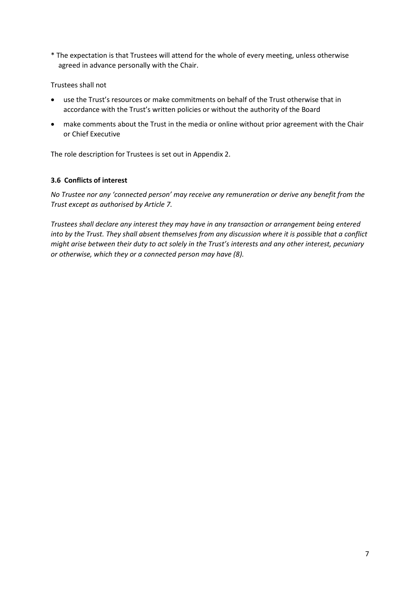\* The expectation is that Trustees will attend for the whole of every meeting, unless otherwise agreed in advance personally with the Chair.

#### Trustees shall not

- use the Trust's resources or make commitments on behalf of the Trust otherwise that in accordance with the Trust's written policies or without the authority of the Board
- make comments about the Trust in the media or online without prior agreement with the Chair or Chief Executive

The role description for Trustees is set out in Appendix 2.

#### **3.6 Conflicts of interest**

*No Trustee nor any 'connected person' may receive any remuneration or derive any benefit from the Trust except as authorised by Article 7.* 

*Trustees shall declare any interest they may have in any transaction or arrangement being entered into by the Trust. They shall absent themselves from any discussion where it is possible that a conflict might arise between their duty to act solely in the Trust's interests and any other interest, pecuniary or otherwise, which they or a connected person may have (8).*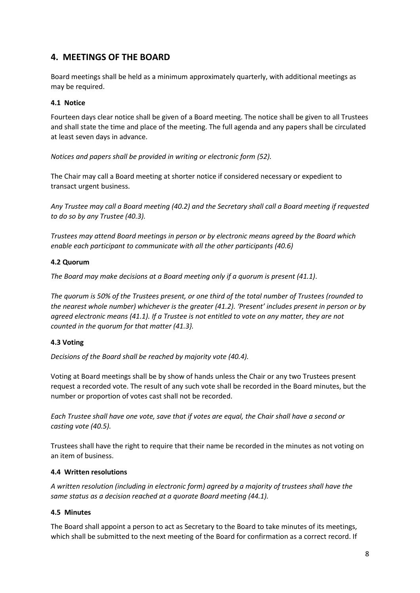# **4. MEETINGS OF THE BOARD**

Board meetings shall be held as a minimum approximately quarterly, with additional meetings as may be required.

#### **4.1 Notice**

Fourteen days clear notice shall be given of a Board meeting. The notice shall be given to all Trustees and shall state the time and place of the meeting. The full agenda and any papers shall be circulated at least seven days in advance.

*Notices and papers shall be provided in writing or electronic form (52).*

The Chair may call a Board meeting at shorter notice if considered necessary or expedient to transact urgent business.

*Any Trustee may call a Board meeting (40.2) and the Secretary shall call a Board meeting if requested to do so by any Trustee (40.3).*

*Trustees may attend Board meetings in person or by electronic means agreed by the Board which enable each participant to communicate with all the other participants (40.6)*

#### **4.2 Quorum**

*The Board may make decisions at a Board meeting only if a quorum is present (41.1)*.

*The quorum is 50% of the Trustees present, or one third of the total number of Trustees (rounded to the nearest whole number) whichever is the greater (41.2). 'Present' includes present in person or by agreed electronic means (41.1). If a Trustee is not entitled to vote on any matter, they are not counted in the quorum for that matter (41.3}.*

#### **4.3 Voting**

*Decisions of the Board shall be reached by majority vote (40.4).*

Voting at Board meetings shall be by show of hands unless the Chair or any two Trustees present request a recorded vote. The result of any such vote shall be recorded in the Board minutes, but the number or proportion of votes cast shall not be recorded.

*Each Trustee shall have one vote, save that if votes are equal, the Chair shall have a second or casting vote (40.5).*

Trustees shall have the right to require that their name be recorded in the minutes as not voting on an item of business.

#### **4.4 Written resolutions**

*A written resolution (including in electronic form) agreed by a majority of trustees shall have the same status as a decision reached at a quorate Board meeting (44.1).* 

#### **4.5 Minutes**

The Board shall appoint a person to act as Secretary to the Board to take minutes of its meetings, which shall be submitted to the next meeting of the Board for confirmation as a correct record. If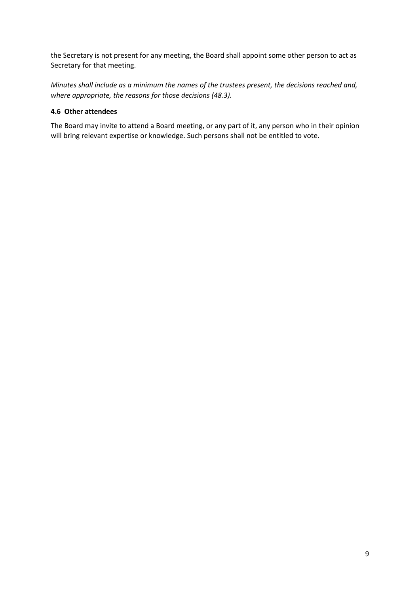the Secretary is not present for any meeting, the Board shall appoint some other person to act as Secretary for that meeting.

*Minutes shall include as a minimum the names of the trustees present, the decisions reached and, where appropriate, the reasons for those decisions (48.3).* 

#### **4.6 Other attendees**

The Board may invite to attend a Board meeting, or any part of it, any person who in their opinion will bring relevant expertise or knowledge. Such persons shall not be entitled to vote.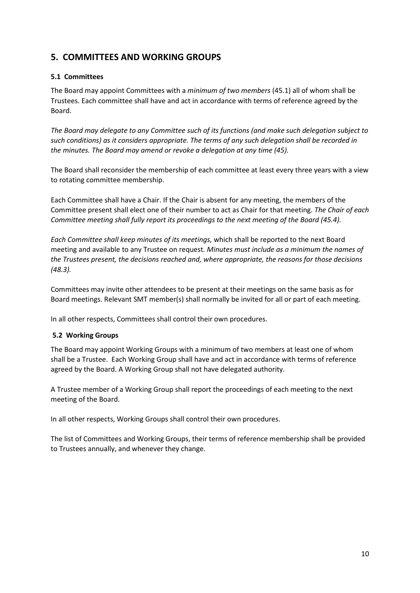# **5. COMMITTEES AND WORKING GROUPS**

## **5.1 Committees**

The Board may appoint Committees with a *minimum of two members* (45.1) all of whom shall be Trustees. Each committee shall have and act in accordance with terms of reference agreed by the Board.

*The Board may delegate to any Committee such of its functions (and make such delegation subject to such conditions) as it considers appropriate. The terms of any such delegation shall be recorded in the minutes. The Board may amend or revoke a delegation at any time (45).*

The Board shall reconsider the membership of each committee at least every three years with a view to rotating committee membership.

Each Committee shall have a Chair. If the Chair is absent for any meeting, the members of the Committee present shall elect one of their number to act as Chair for that meeting. *The Chair of each Committee meeting shall fully report its proceedings to the next meeting of the Board (45.4).*

*Each Committee shall keep minutes of its meetings,* which shall be reported to the next Board meeting and available to any Trustee on request*. Minutes must include as a minimum the names of the Trustees present, the decisions reached and, where appropriate, the reasons for those decisions (48.3).*

Committees may invite other attendees to be present at their meetings on the same basis as for Board meetings. Relevant SMT member(s) shall normally be invited for all or part of each meeting.

In all other respects, Committees shall control their own procedures.

#### **5.2 Working Groups**

The Board may appoint Working Groups with a minimum of two members at least one of whom shall be a Trustee. Each Working Group shall have and act in accordance with terms of reference agreed by the Board. A Working Group shall not have delegated authority.

A Trustee member of a Working Group shall report the proceedings of each meeting to the next meeting of the Board.

In all other respects, Working Groups shall control their own procedures.

The list of Committees and Working Groups, their terms of reference membership shall be provided to Trustees annually, and whenever they change.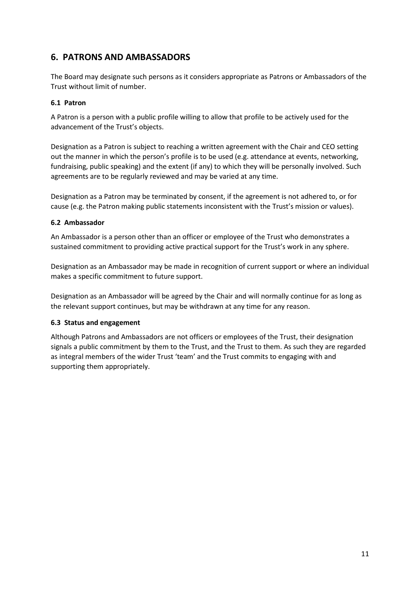# **6. PATRONS AND AMBASSADORS**

The Board may designate such persons as it considers appropriate as Patrons or Ambassadors of the Trust without limit of number.

#### **6.1 Patron**

A Patron is a person with a public profile willing to allow that profile to be actively used for the advancement of the Trust's objects.

Designation as a Patron is subject to reaching a written agreement with the Chair and CEO setting out the manner in which the person's profile is to be used (e.g. attendance at events, networking, fundraising, public speaking) and the extent (if any) to which they will be personally involved. Such agreements are to be regularly reviewed and may be varied at any time.

Designation as a Patron may be terminated by consent, if the agreement is not adhered to, or for cause (e.g. the Patron making public statements inconsistent with the Trust's mission or values).

#### **6.2 Ambassador**

An Ambassador is a person other than an officer or employee of the Trust who demonstrates a sustained commitment to providing active practical support for the Trust's work in any sphere.

Designation as an Ambassador may be made in recognition of current support or where an individual makes a specific commitment to future support.

Designation as an Ambassador will be agreed by the Chair and will normally continue for as long as the relevant support continues, but may be withdrawn at any time for any reason.

#### **6.3 Status and engagement**

Although Patrons and Ambassadors are not officers or employees of the Trust, their designation signals a public commitment by them to the Trust, and the Trust to them. As such they are regarded as integral members of the wider Trust 'team' and the Trust commits to engaging with and supporting them appropriately.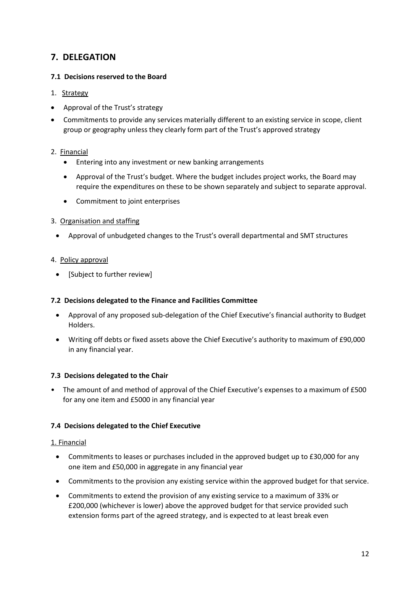# **7. DELEGATION**

## **7.1 Decisions reserved to the Board**

- 1. Strategy
- Approval of the Trust's strategy
- Commitments to provide any services materially different to an existing service in scope, client group or geography unless they clearly form part of the Trust's approved strategy

## 2. Financial

- Entering into any investment or new banking arrangements
- Approval of the Trust's budget. Where the budget includes project works, the Board may require the expenditures on these to be shown separately and subject to separate approval.
- Commitment to joint enterprises
- 3. Organisation and staffing
	- Approval of unbudgeted changes to the Trust's overall departmental and SMT structures
- 4. Policy approval
	- [Subject to further review]

#### **7.2 Decisions delegated to the Finance and Facilities Committee**

- Approval of any proposed sub-delegation of the Chief Executive's financial authority to Budget Holders.
- Writing off debts or fixed assets above the Chief Executive's authority to maximum of £90,000 in any financial year.

#### **7.3 Decisions delegated to the Chair**

• The amount of and method of approval of the Chief Executive's expenses to a maximum of £500 for any one item and £5000 in any financial year

#### **7.4 Decisions delegated to the Chief Executive**

#### 1. Financial

- Commitments to leases or purchases included in the approved budget up to £30,000 for any one item and £50,000 in aggregate in any financial year
- Commitments to the provision any existing service within the approved budget for that service.
- Commitments to extend the provision of any existing service to a maximum of 33% or £200,000 (whichever is lower) above the approved budget for that service provided such extension forms part of the agreed strategy, and is expected to at least break even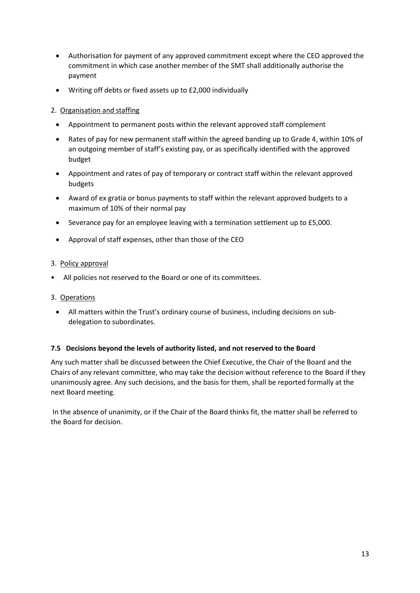- Authorisation for payment of any approved commitment except where the CEO approved the commitment in which case another member of the SMT shall additionally authorise the payment
- Writing off debts or fixed assets up to £2,000 individually

### 2. Organisation and staffing

- Appointment to permanent posts within the relevant approved staff complement
- Rates of pay for new permanent staff within the agreed banding up to Grade 4, within 10% of an outgoing member of staff's existing pay, or as specifically identified with the approved budget
- Appointment and rates of pay of temporary or contract staff within the relevant approved budgets
- Award of ex gratia or bonus payments to staff within the relevant approved budgets to a maximum of 10% of their normal pay
- Severance pay for an employee leaving with a termination settlement up to £5,000.
- Approval of staff expenses, other than those of the CEO

#### 3. Policy approval

• All policies not reserved to the Board or one of its committees.

#### 3. Operations

• All matters within the Trust's ordinary course of business, including decisions on subdelegation to subordinates.

#### **7.5 Decisions beyond the levels of authority listed, and not reserved to the Board**

Any such matter shall be discussed between the Chief Executive, the Chair of the Board and the Chairs of any relevant committee, who may take the decision without reference to the Board if they unanimously agree. Any such decisions, and the basis for them, shall be reported formally at the next Board meeting.

In the absence of unanimity, or if the Chair of the Board thinks fit, the matter shall be referred to the Board for decision.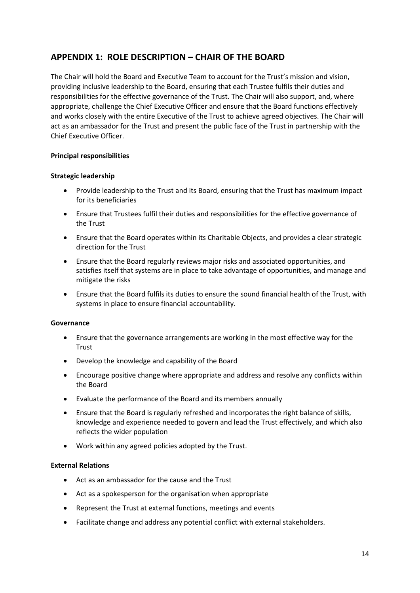# **APPENDIX 1: ROLE DESCRIPTION – CHAIR OF THE BOARD**

The Chair will hold the Board and Executive Team to account for the Trust's mission and vision, providing inclusive leadership to the Board, ensuring that each Trustee fulfils their duties and responsibilities for the effective governance of the Trust. The Chair will also support, and, where appropriate, challenge the Chief Executive Officer and ensure that the Board functions effectively and works closely with the entire Executive of the Trust to achieve agreed objectives. The Chair will act as an ambassador for the Trust and present the public face of the Trust in partnership with the Chief Executive Officer.

#### **Principal responsibilities**

#### **Strategic leadership**

- Provide leadership to the Trust and its Board, ensuring that the Trust has maximum impact for its beneficiaries
- Ensure that Trustees fulfil their duties and responsibilities for the effective governance of the Trust
- Ensure that the Board operates within its Charitable Objects, and provides a clear strategic direction for the Trust
- Ensure that the Board regularly reviews major risks and associated opportunities, and satisfies itself that systems are in place to take advantage of opportunities, and manage and mitigate the risks
- Ensure that the Board fulfils its duties to ensure the sound financial health of the Trust, with systems in place to ensure financial accountability.

#### **Governance**

- Ensure that the governance arrangements are working in the most effective way for the **Trust**
- Develop the knowledge and capability of the Board
- Encourage positive change where appropriate and address and resolve any conflicts within the Board
- Evaluate the performance of the Board and its members annually
- Ensure that the Board is regularly refreshed and incorporates the right balance of skills, knowledge and experience needed to govern and lead the Trust effectively, and which also reflects the wider population
- Work within any agreed policies adopted by the Trust.

#### **External Relations**

- Act as an ambassador for the cause and the Trust
- Act as a spokesperson for the organisation when appropriate
- Represent the Trust at external functions, meetings and events
- Facilitate change and address any potential conflict with external stakeholders.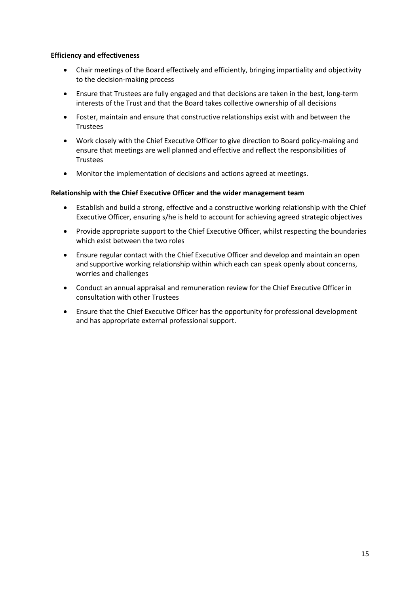#### **Efficiency and effectiveness**

- Chair meetings of the Board effectively and efficiently, bringing impartiality and objectivity to the decision-making process
- Ensure that Trustees are fully engaged and that decisions are taken in the best, long-term interests of the Trust and that the Board takes collective ownership of all decisions
- Foster, maintain and ensure that constructive relationships exist with and between the **Trustees**
- Work closely with the Chief Executive Officer to give direction to Board policy-making and ensure that meetings are well planned and effective and reflect the responsibilities of **Trustees**
- Monitor the implementation of decisions and actions agreed at meetings.

#### **Relationship with the Chief Executive Officer and the wider management team**

- Establish and build a strong, effective and a constructive working relationship with the Chief Executive Officer, ensuring s/he is held to account for achieving agreed strategic objectives
- Provide appropriate support to the Chief Executive Officer, whilst respecting the boundaries which exist between the two roles
- Ensure regular contact with the Chief Executive Officer and develop and maintain an open and supportive working relationship within which each can speak openly about concerns, worries and challenges
- Conduct an annual appraisal and remuneration review for the Chief Executive Officer in consultation with other Trustees
- Ensure that the Chief Executive Officer has the opportunity for professional development and has appropriate external professional support.